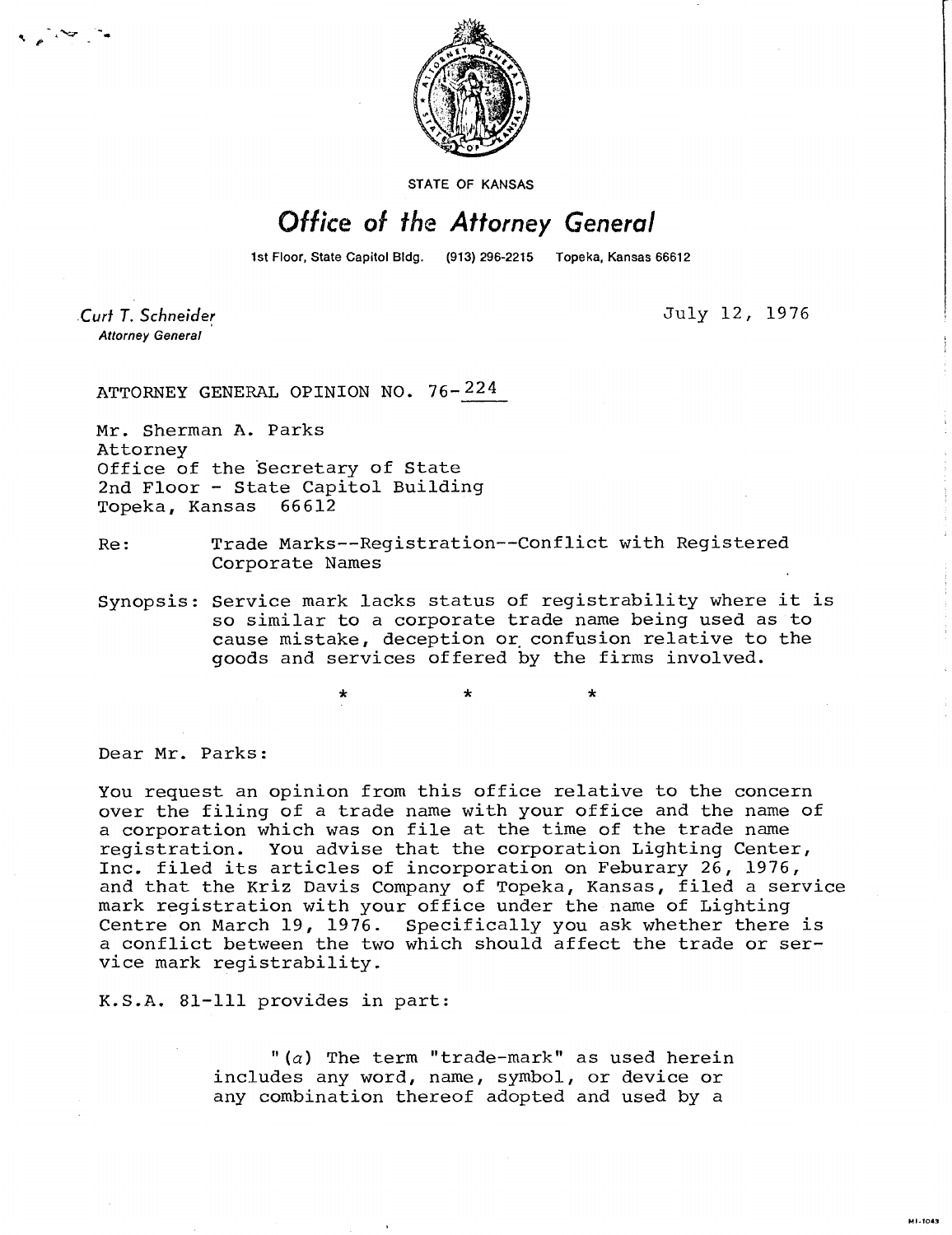

STATE OF KANSAS

## Office of the Attorney General

1st Floor, State Capitol Bldg. (913) 296-2215 Topeka, Kansas 66612

Curt T. Schneider **Attorney General** 

July 12, 1976

MI-1043

ATTORNEY GENERAL OPINION NO. 76- 224

Mr. Sherman A. Parks Attorney Office of the Secretary of State 2nd Floor - State Capitol Building Topeka, Kansas 66612

\*

- Re: Trade Marks--Registration--Conflict with Registered Corporate Names
- Synopsis: Service mark lacks status of registrability where it is so similar to a corporate trade name being used as to cause mistake, deception or confusion relative to the goods and services offered by the firms involved.

Dear Mr. Parks:

You request an opinion from this office relative to the concern over the filing of a trade name with your office and the name of a corporation which was on file at the time of the trade name registration. You advise that the corporation Lighting Center, Inc. filed its articles of incorporation on Feburary 26, 1976, and that the Kriz Davis Company of Topeka, Kansas, filed a service mark registration with your office under the name of Lighting Centre on March 19, 1976. Specifically you ask whether there is a conflict between the two which should affect the trade or service mark registrability.

K.S.A. 81-111 provides in part:

"(a) The term "trade-mark" as used herein includes any word, name, symbol, or device or any combination thereof adopted and used by a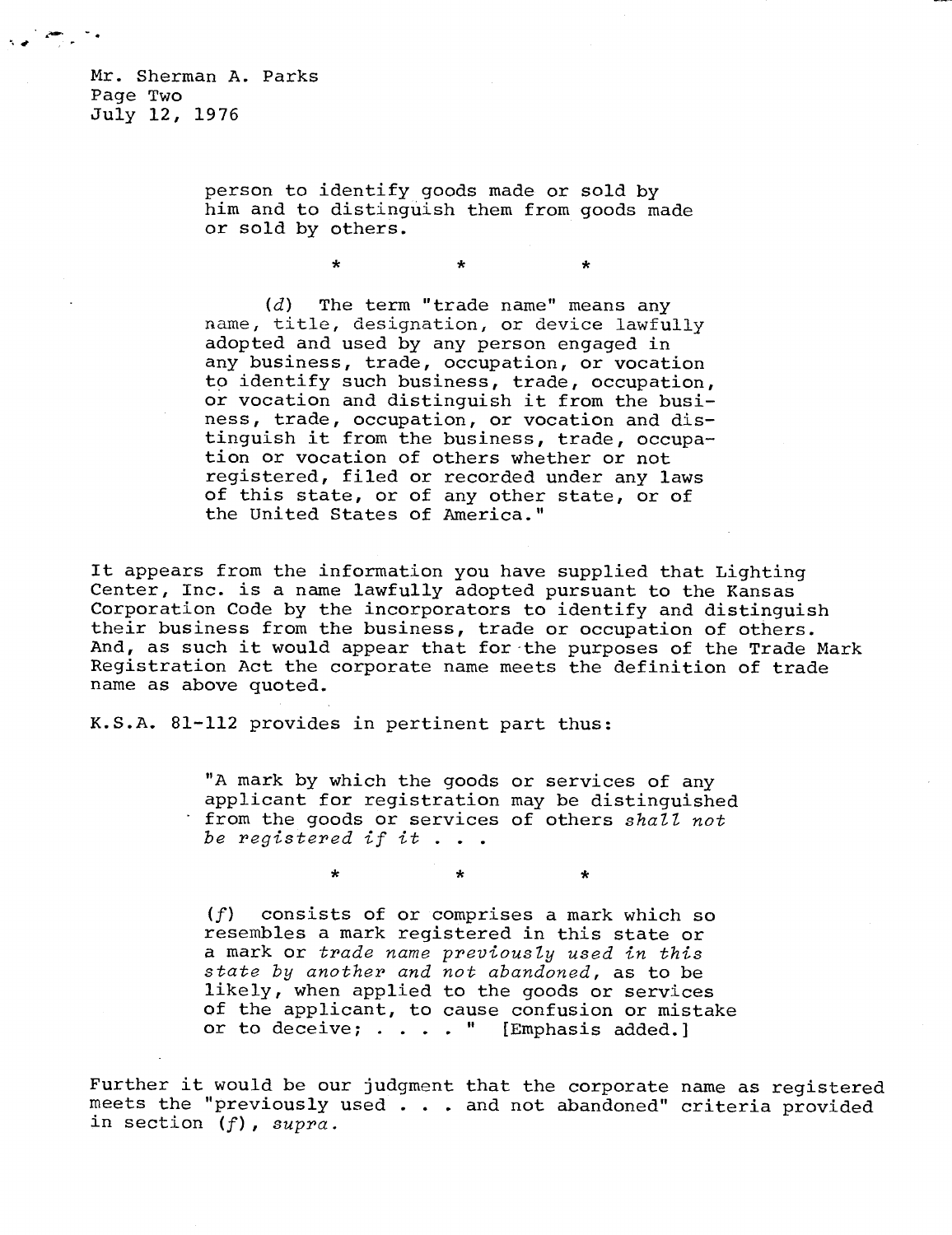Mr. Sherman A. Parks Page Two July 12, 1976

> person to identify goods made or sold by him and to distinguish them from goods made or sold by others.

> > $\star$

 $\mathbf{r}$ 

(d) The term "trade name" means any name, title, designation, or device lawfully adopted and used by any person engaged in any business, trade, occupation, or vocation to identify such business, trade, occupation, or vocation and distinguish it from the business, trade, occupation, or vocation and distinguish it from the business, trade, occupation or vocation of others whether or not registered, filed or recorded under any laws of this state, or of any other state, or of the United States of America."

It appears from the information you have supplied that Lighting Center, Inc. is a name lawfully adopted pursuant to the Kansas Corporation Code by the incorporators to identify and distinguish their business from the business, trade or occupation of others. And, as such it would appear that for the purposes of the Trade Mark Registration Act the corporate name meets the definition of trade name as above quoted.

K.S.A. 81-112 provides in pertinent part thus:

 $\star$ 

\*

"A mark by which the goods or services of any applicant for registration may be distinguished from the goods or services of others shall not be registered if it  $\ldots$ .

(f) consists of or comprises a mark which so resembles a mark registered in this state or a mark or trade name previously used in this state by another and not abandoned, as to be likely, when applied to the goods or services of the applicant, to cause confusion or mistake or to deceive; . . . . " [Emphasis added.]

Further it would be our judgment that the corporate name as registered meets the "previously used . . . and not abandoned" criteria provided in section (f), supra.